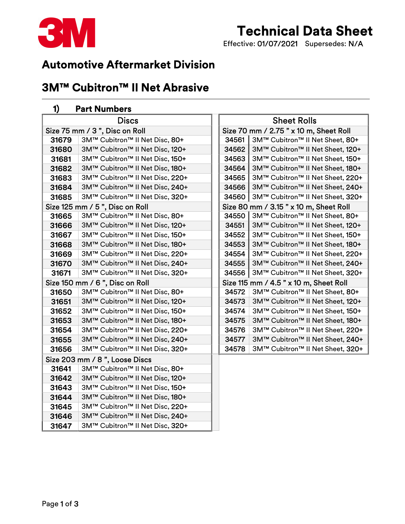

# Technical Data Sheet

Effective: 01/07/2021 Supersedes: N/A

### Automotive Aftermarket Division

## 3M™ Cubitron™ II Net Abrasive

#### 1) Part Numbers

| <b>Discs</b>                    |                                 | <b>Sheet Rolls</b>                     |                                        |
|---------------------------------|---------------------------------|----------------------------------------|----------------------------------------|
| Size 75 mm / 3", Disc on Roll   |                                 |                                        | Size 70 mm / 2.75 " x 10 m, Sheet Roll |
| 31679                           | 3M™ Cubitron™ II Net Disc, 80+  | 34561                                  | 3M™ Cubitron™ II Net Sheet, 80+        |
| 31680                           | 3M™ Cubitron™ II Net Disc, 120+ | 34562                                  | 3M™ Cubitron™ II Net Sheet, 120+       |
| 31681                           | 3M™ Cubitron™ II Net Disc, 150+ | 34563                                  | 3M™ Cubitron™ II Net Sheet, 150+       |
| 31682                           | 3M™ Cubitron™ II Net Disc, 180+ | 34564                                  | 3M™ Cubitron™ II Net Sheet, 180+       |
| 31683                           | 3M™ Cubitron™ II Net Disc, 220+ | 34565                                  | 3M™ Cubitron™ II Net Sheet, 220+       |
| 31684                           | 3M™ Cubitron™ II Net Disc, 240+ | 34566                                  | 3M™ Cubitron™ II Net Sheet, 240+       |
| 31685                           | 3M™ Cubitron™ II Net Disc, 320+ | 34560                                  | 3M™ Cubitron™ II Net Sheet, 320+       |
| Size 125 mm / 5", Disc on Roll  |                                 | Size 80 mm / 3.15 " x 10 m, Sheet Roll |                                        |
| 31665                           | 3M™ Cubitron™ II Net Disc, 80+  | 34550                                  | 3M™ Cubitron™ II Net Sheet, 80+        |
| 31666                           | 3M™ Cubitron™ II Net Disc, 120+ | 34551                                  | 3M™ Cubitron™ II Net Sheet, 120+       |
| 31667                           | 3M™ Cubitron™ II Net Disc, 150+ | 34552                                  | 3M™ Cubitron™ II Net Sheet, 150+       |
| 31668                           | 3M™ Cubitron™ II Net Disc, 180+ | 34553                                  | 3M™ Cubitron™ II Net Sheet, 180+       |
| 31669                           | 3M™ Cubitron™ II Net Disc, 220+ | 34554                                  | 3M™ Cubitron™ II Net Sheet, 220+       |
| 31670                           | 3M™ Cubitron™ II Net Disc, 240+ | 34555                                  | 3M™ Cubitron™ II Net Sheet, 240+       |
| 31671                           | 3M™ Cubitron™ II Net Disc, 320+ | 34556                                  | 3M™ Cubitron™ II Net Sheet, 320+       |
| Size 150 mm / 6 ", Disc on Roll |                                 | Size 115 mm / 4.5 " x 10 m, Sheet Roll |                                        |
| 31650                           | 3M™ Cubitron™ II Net Disc, 80+  | 34572                                  | 3M™ Cubitron™ II Net Sheet, 80+        |
| 31651                           | 3M™ Cubitron™ II Net Disc, 120+ | 34573                                  | 3M™ Cubitron™ II Net Sheet, 120+       |
| 31652                           | 3M™ Cubitron™ II Net Disc, 150+ | 34574                                  | 3M™ Cubitron™ II Net Sheet, 150+       |
| 31653                           | 3M™ Cubitron™ II Net Disc, 180+ | 34575                                  | 3M™ Cubitron™ II Net Sheet, 180+       |
| 31654                           | 3M™ Cubitron™ II Net Disc, 220+ | 34576                                  | 3M™ Cubitron™ II Net Sheet, 220+       |
| 31655                           | 3M™ Cubitron™ II Net Disc, 240+ | 34577                                  | 3M™ Cubitron™ II Net Sheet, 240+       |
| 31656                           | 3M™ Cubitron™ II Net Disc, 320+ | 34578                                  | 3M™ Cubitron™ II Net Sheet, 320+       |
| Size 203 mm / 8", Loose Discs   |                                 |                                        |                                        |
| 31641                           | 3M™ Cubitron™ II Net Disc, 80+  |                                        |                                        |
| 31642                           | 3M™ Cubitron™ II Net Disc, 120+ |                                        |                                        |
| 31643                           | 3M™ Cubitron™ II Net Disc, 150+ |                                        |                                        |
| 31644                           | 3M™ Cubitron™ II Net Disc, 180+ |                                        |                                        |
| 31645                           | 3M™ Cubitron™ II Net Disc, 220+ |                                        |                                        |
| 31646                           | 3M™ Cubitron™ II Net Disc, 240+ |                                        |                                        |
| 31647                           | 3M™ Cubitron™ II Net Disc, 320+ |                                        |                                        |

| <b>Discs</b>                  | <b>Sheet Rolls</b>                        |  |  |  |
|-------------------------------|-------------------------------------------|--|--|--|
| c on Roll                     | Size 70 mm / 2.75 " x 10 m, Sheet Roll    |  |  |  |
| ron™ II Net Disc, 80+         | 3M™ Cubitron™ II Net Sheet, 80+<br>34561  |  |  |  |
| ron™ II Net Disc, 120+        | 34562<br>3M™ Cubitron™ II Net Sheet, 120+ |  |  |  |
| ron™ II Net Disc, <b>150+</b> | 34563<br>3M™ Cubitron™ II Net Sheet, 150+ |  |  |  |
| ron™ II Net Disc, <b>180+</b> | 34564<br>3M™ Cubitron™ II Net Sheet, 180+ |  |  |  |
| ron™ II Net Disc, <b>220+</b> | 34565<br>3M™ Cubitron™ II Net Sheet, 220+ |  |  |  |
| ron™ II Net Disc, <b>240+</b> | 34566<br>3M™ Cubitron™ II Net Sheet, 240+ |  |  |  |
| ron™ II Net Disc, 320+        | 34560<br>3M™ Cubitron™ II Net Sheet, 320+ |  |  |  |
| sc on Roll                    | Size 80 mm / 3.15 " x 10 m, Sheet Roll    |  |  |  |
| ron™ II Net Disc, <b>80+</b>  | 34550<br>3M™ Cubitron™ II Net Sheet, 80+  |  |  |  |
| ron™ II Net Disc, <b>120+</b> | 34551<br>3M™ Cubitron™ II Net Sheet, 120+ |  |  |  |
| ron™ II Net Disc, <b>150+</b> | 34552<br>3M™ Cubitron™ II Net Sheet, 150+ |  |  |  |
| ron™ II Net Disc, <b>180+</b> | 34553<br>3M™ Cubitron™ II Net Sheet, 180+ |  |  |  |
| ron™ II Net Disc, <b>220+</b> | 34554<br>3M™ Cubitron™ II Net Sheet, 220+ |  |  |  |
| ron™ II Net Disc, <b>240+</b> | 34555<br>3M™ Cubitron™ II Net Sheet, 240+ |  |  |  |
| ron™ II Net Disc, <b>320+</b> | 34556<br>3M™ Cubitron™ II Net Sheet, 320+ |  |  |  |
| sc on Roll                    | Size 115 mm / 4.5 " x 10 m, Sheet Roll    |  |  |  |
| ron™ II Net Disc, <b>80+</b>  | 34572<br>3M™ Cubitron™ II Net Sheet, 80+  |  |  |  |
| ron™ II Net Disc, <b>120+</b> | 34573<br>3M™ Cubitron™ II Net Sheet, 120+ |  |  |  |
| ron™ II Net Disc, <b>150+</b> | 34574<br>3M™ Cubitron™ II Net Sheet, 150+ |  |  |  |
| ron™ II Net Disc, <b>180+</b> | 3M™ Cubitron™ II Net Sheet, 180+<br>34575 |  |  |  |
| ron™ II Net Disc, <b>220+</b> | 3M™ Cubitron™ II Net Sheet, 220+<br>34576 |  |  |  |
| ron™ II Net Disc, <b>240+</b> | 34577<br>3M™ Cubitron™ II Net Sheet, 240+ |  |  |  |
| ron™ II Net Disc, 320+        | 34578<br>3M™ Cubitron™ II Net Sheet, 320+ |  |  |  |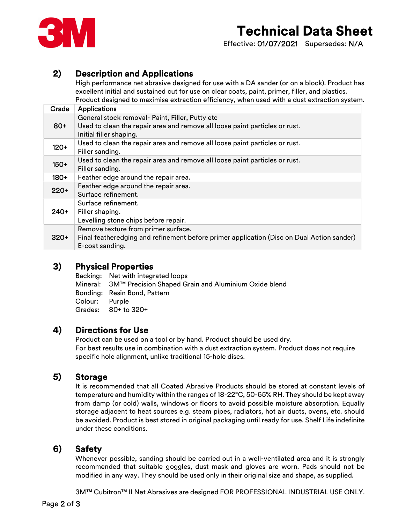

# Technical Data Sheet

Effective: 01/07/2021 Supersedes: N/A

#### 2) Description and Applications

High performance net abrasive designed for use with a DA sander (or on a block). Product has excellent initial and sustained cut for use on clear coats, paint, primer, filler, and plastics. Product designed to maximise extraction efficiency, when used with a dust extraction system.

| Grade  | <b>Applications</b>                                                                                    |
|--------|--------------------------------------------------------------------------------------------------------|
|        | General stock removal- Paint, Filler, Putty etc                                                        |
| $80+$  | Used to clean the repair area and remove all loose paint particles or rust.<br>Initial filler shaping. |
| $120+$ | Used to clean the repair area and remove all loose paint particles or rust.<br>Filler sanding.         |
| $150+$ | Used to clean the repair area and remove all loose paint particles or rust.<br>Filler sanding.         |
| $180+$ | Feather edge around the repair area.                                                                   |
| $220+$ | Feather edge around the repair area.                                                                   |
|        | Surface refinement.                                                                                    |
| $240+$ | Surface refinement.                                                                                    |
|        | Filler shaping.                                                                                        |
|        | Levelling stone chips before repair.                                                                   |
| $320+$ | Remove texture from primer surface.                                                                    |
|        | Final featheredging and refinement before primer application (Disc on Dual Action sander)              |
|        | E-coat sanding.                                                                                        |

#### 3) Physical Properties

Backing: Net with integrated loops Mineral: 3M™ Precision Shaped Grain and Aluminium Oxide blend Bonding: Resin Bond, Pattern Colour: Purple Grades: 80+ to 320+

#### 4) Directions for Use

Product can be used on a tool or by hand. Product should be used dry. For best results use in combination with a dust extraction system. Product does not require specific hole alignment, unlike traditional 15-hole discs.

#### 5) Storage

It is recommended that all Coated Abrasive Products should be stored at constant levels of temperature and humidity within the ranges of 18-22°C, 50-65% RH. They should be kept away from damp (or cold) walls, windows or floors to avoid possible moisture absorption. Equally storage adjacent to heat sources e.g. steam pipes, radiators, hot air ducts, ovens, etc. should be avoided. Product is best stored in original packaging until ready for use. Shelf Life indefinite under these conditions.

### 6) Safety

Whenever possible, sanding should be carried out in a well-ventilated area and it is strongly recommended that suitable goggles, dust mask and gloves are worn. Pads should not be modified in any way. They should be used only in their original size and shape, as supplied.

3M™ Cubitron™ II Net Abrasives are designed FOR PROFESSIONAL INDUSTRIAL USE ONLY.